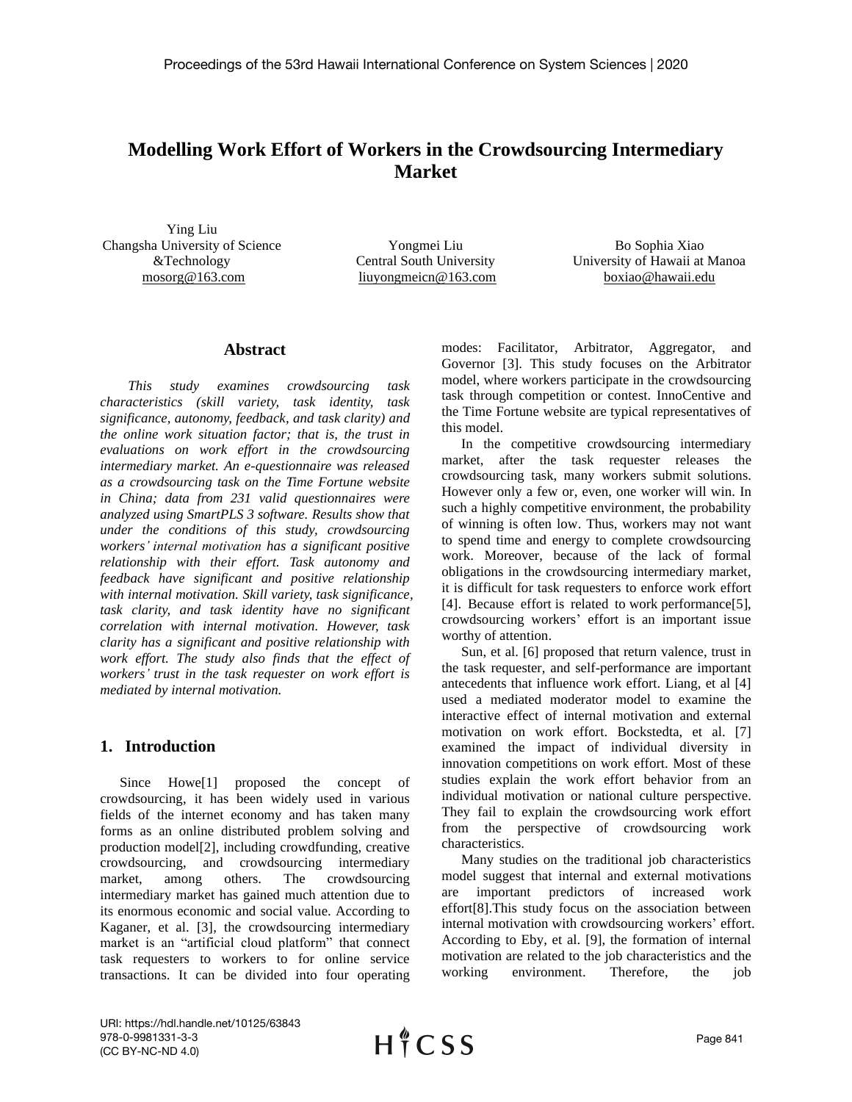# **Modelling Work Effort of Workers in the Crowdsourcing Intermediary Market**

Ying Liu Changsha University of Science &Technology [mosorg@163.com](mailto:mosorg@163.com) 

Yongmei Liu Central South University liuyongmeicn@163.com

Bo Sophia Xiao University of Hawaii at Manoa [boxiao@hawaii.edu](mailto:boxiao@hawaii.edu)

### **Abstract**

*This study examines crowdsourcing task characteristics (skill variety, task identity, task significance, autonomy, feedback, and task clarity) and the online work situation factor; that is, the trust in evaluations on work effort in the crowdsourcing intermediary market. An e-questionnaire was released as a crowdsourcing task on the Time Fortune website in China; data from 231 valid questionnaires were analyzed using SmartPLS 3 software. Results show that under the conditions of this study, crowdsourcing workers' internal motivation has a significant positive relationship with their effort. Task autonomy and feedback have significant and positive relationship with internal motivation. Skill variety, task significance, task clarity, and task identity have no significant correlation with internal motivation. However, task clarity has a significant and positive relationship with work effort. The study also finds that the effect of workers' trust in the task requester on work effort is mediated by internal motivation.*

## **1. Introduction**

Since Howe[1] proposed the concept of crowdsourcing, it has been widely used in various fields of the internet economy and has taken many forms as an online distributed problem solving and production model[2], including crowdfunding, creative crowdsourcing, and crowdsourcing intermediary market, among others. The crowdsourcing intermediary market has gained much attention due to its enormous economic and social value. According to Kaganer, et al. [3], the crowdsourcing intermediary market is an "artificial cloud platform" that connect task requesters to workers to for online service transactions. It can be divided into four operating

modes: Facilitator, Arbitrator, Aggregator, and Governor [3]. This study focuses on the Arbitrator model, where workers participate in the crowdsourcing task through competition or contest. InnoCentive and the Time Fortune website are typical representatives of this model.

In the competitive crowdsourcing intermediary market, after the task requester releases the crowdsourcing task, many workers submit solutions. However only a few or, even, one worker will win. In such a highly competitive environment, the probability of winning is often low. Thus, workers may not want to spend time and energy to complete crowdsourcing work. Moreover, because of the lack of formal obligations in the crowdsourcing intermediary market, it is difficult for task requesters to enforce work effort [4]. Because effort is related to work performance[5], crowdsourcing workers' effort is an important issue worthy of attention.

Sun, et al. [6] proposed that return valence, trust in the task requester, and self-performance are important antecedents that influence work effort. Liang, et al [4] used a mediated moderator model to examine the interactive effect of internal motivation and external motivation on work effort. Bockstedta, et al. [7] examined the impact of individual diversity in innovation competitions on work effort. Most of these studies explain the work effort behavior from an individual motivation or national culture perspective. They fail to explain the crowdsourcing work effort from the perspective of crowdsourcing work characteristics.

Many studies on the traditional job characteristics model suggest that internal and external motivations are important predictors of increased work effort[8].This study focus on the association between internal motivation with crowdsourcing workers' effort. According to Eby, et al. [9], the formation of internal motivation are related to the job characteristics and the working environment. Therefore, the job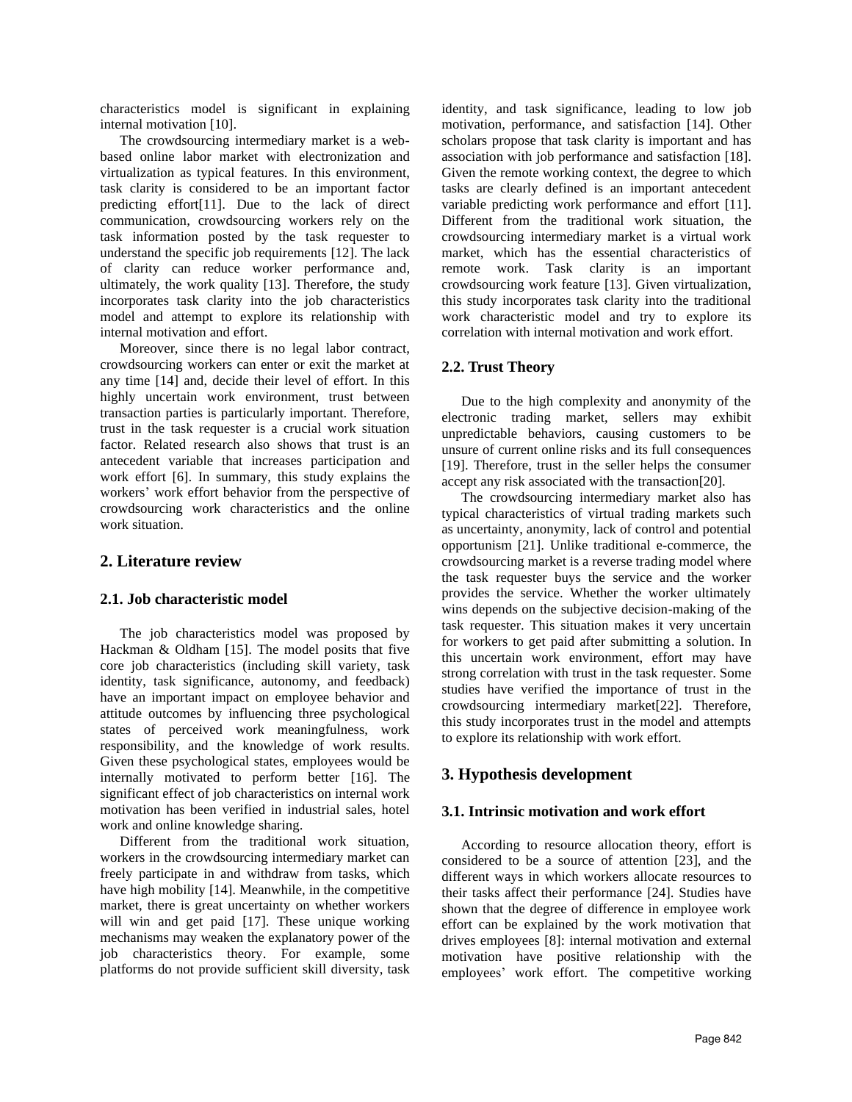characteristics model is significant in explaining internal motivation [10].

The crowdsourcing intermediary market is a webbased online labor market with electronization and virtualization as typical features. In this environment, task clarity is considered to be an important factor predicting effort[11]. Due to the lack of direct communication, crowdsourcing workers rely on the task information posted by the task requester to understand the specific job requirements [12]. The lack of clarity can reduce worker performance and, ultimately, the work quality [13]. Therefore, the study incorporates task clarity into the job characteristics model and attempt to explore its relationship with internal motivation and effort.

Moreover, since there is no legal labor contract, crowdsourcing workers can enter or exit the market at any time [14] and, decide their level of effort. In this highly uncertain work environment, trust between transaction parties is particularly important. Therefore, trust in the task requester is a crucial work situation factor. Related research also shows that trust is an antecedent variable that increases participation and work effort [6]. In summary, this study explains the workers' work effort behavior from the perspective of crowdsourcing work characteristics and the online work situation.

### **2. Literature review**

### **2.1. Job characteristic model**

The job characteristics model was proposed by Hackman & Oldham [15]. The model posits that five core job characteristics (including skill variety, task identity, task significance, autonomy, and feedback) have an important impact on employee behavior and attitude outcomes by influencing three psychological states of perceived work meaningfulness, work responsibility, and the knowledge of work results. Given these psychological states, employees would be internally motivated to perform better [16]. The significant effect of job characteristics on internal work motivation has been verified in industrial sales, hotel work and online knowledge sharing.

Different from the traditional work situation, workers in the crowdsourcing intermediary market can freely participate in and withdraw from tasks, which have high mobility [14]. Meanwhile, in the competitive market, there is great uncertainty on whether workers will win and get paid [17]. These unique working mechanisms may weaken the explanatory power of the job characteristics theory. For example, some platforms do not provide sufficient skill diversity, task

identity, and task significance, leading to low job motivation, performance, and satisfaction [14]. Other scholars propose that task clarity is important and has association with job performance and satisfaction [18]. Given the remote working context, the degree to which tasks are clearly defined is an important antecedent variable predicting work performance and effort [11]. Different from the traditional work situation, the crowdsourcing intermediary market is a virtual work market, which has the essential characteristics of remote work. Task clarity is an important crowdsourcing work feature [13]. Given virtualization, this study incorporates task clarity into the traditional work characteristic model and try to explore its correlation with internal motivation and work effort.

### **2.2. Trust Theory**

Due to the high complexity and anonymity of the electronic trading market, sellers may exhibit unpredictable behaviors, causing customers to be unsure of current online risks and its full consequences [19]. Therefore, trust in the seller helps the consumer accept any risk associated with the transaction[20].

The crowdsourcing intermediary market also has typical characteristics of virtual trading markets such as uncertainty, anonymity, lack of control and potential opportunism [21]. Unlike traditional e-commerce, the crowdsourcing market is a reverse trading model where the task requester buys the service and the worker provides the service. Whether the worker ultimately wins depends on the subjective decision-making of the task requester. This situation makes it very uncertain for workers to get paid after submitting a solution. In this uncertain work environment, effort may have strong correlation with trust in the task requester. Some studies have verified the importance of trust in the crowdsourcing intermediary market[22]. Therefore, this study incorporates trust in the model and attempts to explore its relationship with work effort.

## **3. Hypothesis development**

### **3.1. Intrinsic motivation and work effort**

According to resource allocation theory, effort is considered to be a source of attention [23], and the different ways in which workers allocate resources to their tasks affect their performance [24]. Studies have shown that the degree of difference in employee work effort can be explained by the work motivation that drives employees [8]: internal motivation and external motivation have positive relationship with the employees' work effort. The competitive working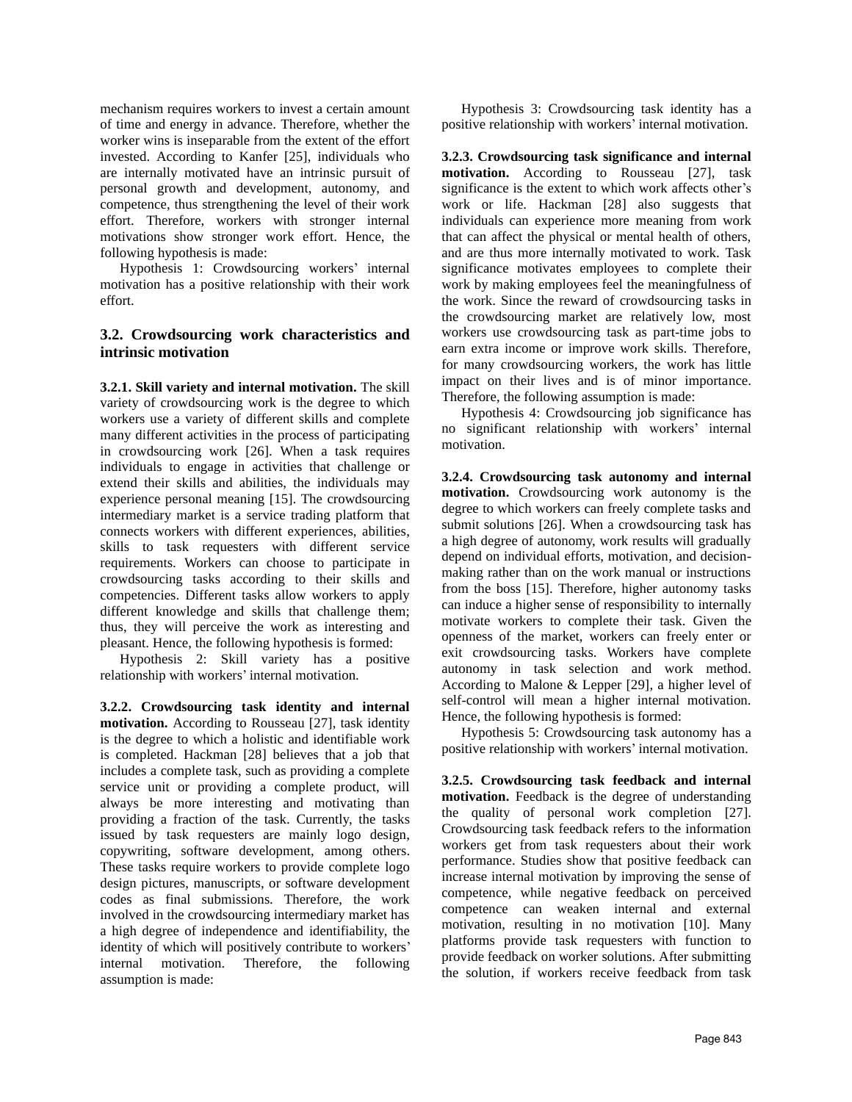mechanism requires workers to invest a certain amount of time and energy in advance. Therefore, whether the worker wins is inseparable from the extent of the effort invested. According to Kanfer [25], individuals who are internally motivated have an intrinsic pursuit of personal growth and development, autonomy, and competence, thus strengthening the level of their work effort. Therefore, workers with stronger internal motivations show stronger work effort. Hence, the following hypothesis is made:

Hypothesis 1: Crowdsourcing workers' internal motivation has a positive relationship with their work effort.

## **3.2. Crowdsourcing work characteristics and intrinsic motivation**

**3.2.1. Skill variety and internal motivation.** The skill variety of crowdsourcing work is the degree to which workers use a variety of different skills and complete many different activities in the process of participating in crowdsourcing work [26]. When a task requires individuals to engage in activities that challenge or extend their skills and abilities, the individuals may experience personal meaning [15]. The crowdsourcing intermediary market is a service trading platform that connects workers with different experiences, abilities, skills to task requesters with different service requirements. Workers can choose to participate in crowdsourcing tasks according to their skills and competencies. Different tasks allow workers to apply different knowledge and skills that challenge them; thus, they will perceive the work as interesting and pleasant. Hence, the following hypothesis is formed:

Hypothesis 2: Skill variety has a positive relationship with workers' internal motivation.

**3.2.2. Crowdsourcing task identity and internal motivation.** According to Rousseau [27], task identity is the degree to which a holistic and identifiable work is completed. Hackman [28] believes that a job that includes a complete task, such as providing a complete service unit or providing a complete product, will always be more interesting and motivating than providing a fraction of the task. Currently, the tasks issued by task requesters are mainly logo design, copywriting, software development, among others. These tasks require workers to provide complete logo design pictures, manuscripts, or software development codes as final submissions. Therefore, the work involved in the crowdsourcing intermediary market has a high degree of independence and identifiability, the identity of which will positively contribute to workers' internal motivation. Therefore, the following assumption is made:

Hypothesis 3: Crowdsourcing task identity has a positive relationship with workers' internal motivation.

**3.2.3. Crowdsourcing task significance and internal motivation.** According to Rousseau [27], task significance is the extent to which work affects other's work or life. Hackman [28] also suggests that individuals can experience more meaning from work that can affect the physical or mental health of others, and are thus more internally motivated to work. Task significance motivates employees to complete their work by making employees feel the meaningfulness of the work. Since the reward of crowdsourcing tasks in the crowdsourcing market are relatively low, most workers use crowdsourcing task as part-time jobs to earn extra income or improve work skills. Therefore, for many crowdsourcing workers, the work has little impact on their lives and is of minor importance. Therefore, the following assumption is made:

Hypothesis 4: Crowdsourcing job significance has no significant relationship with workers' internal motivation.

**3.2.4. Crowdsourcing task autonomy and internal motivation.** Crowdsourcing work autonomy is the degree to which workers can freely complete tasks and submit solutions [26]. When a crowdsourcing task has a high degree of autonomy, work results will gradually depend on individual efforts, motivation, and decisionmaking rather than on the work manual or instructions from the boss [15]. Therefore, higher autonomy tasks can induce a higher sense of responsibility to internally motivate workers to complete their task. Given the openness of the market, workers can freely enter or exit crowdsourcing tasks. Workers have complete autonomy in task selection and work method. According to Malone & Lepper [29], a higher level of self-control will mean a higher internal motivation. Hence, the following hypothesis is formed:

Hypothesis 5: Crowdsourcing task autonomy has a positive relationship with workers' internal motivation.

**3.2.5. Crowdsourcing task feedback and internal motivation.** Feedback is the degree of understanding the quality of personal work completion [27]. Crowdsourcing task feedback refers to the information workers get from task requesters about their work performance. Studies show that positive feedback can increase internal motivation by improving the sense of competence, while negative feedback on perceived competence can weaken internal and external motivation, resulting in no motivation [10]. Many platforms provide task requesters with function to provide feedback on worker solutions. After submitting the solution, if workers receive feedback from task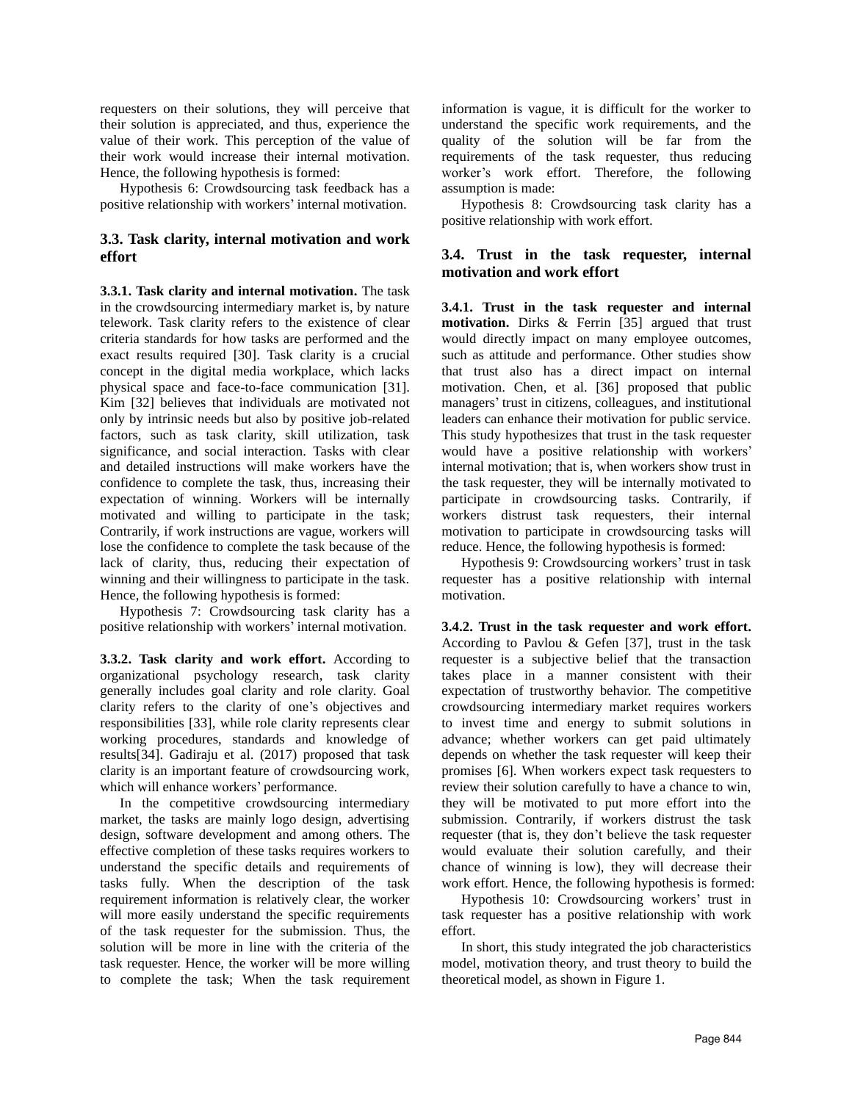requesters on their solutions, they will perceive that their solution is appreciated, and thus, experience the value of their work. This perception of the value of their work would increase their internal motivation. Hence, the following hypothesis is formed:

Hypothesis 6: Crowdsourcing task feedback has a positive relationship with workers' internal motivation.

## **3.3. Task clarity, internal motivation and work effort**

**3.3.1. Task clarity and internal motivation.** The task in the crowdsourcing intermediary market is, by nature telework. Task clarity refers to the existence of clear criteria standards for how tasks are performed and the exact results required [30]. Task clarity is a crucial concept in the digital media workplace, which lacks physical space and face-to-face communication [31]. Kim [32] believes that individuals are motivated not only by intrinsic needs but also by positive job-related factors, such as task clarity, skill utilization, task significance, and social interaction. Tasks with clear and detailed instructions will make workers have the confidence to complete the task, thus, increasing their expectation of winning. Workers will be internally motivated and willing to participate in the task; Contrarily, if work instructions are vague, workers will lose the confidence to complete the task because of the lack of clarity, thus, reducing their expectation of winning and their willingness to participate in the task. Hence, the following hypothesis is formed:

Hypothesis 7: Crowdsourcing task clarity has a positive relationship with workers' internal motivation.

**3.3.2. Task clarity and work effort.** According to organizational psychology research, task clarity generally includes goal clarity and role clarity. Goal clarity refers to the clarity of one's objectives and responsibilities [33], while role clarity represents clear working procedures, standards and knowledge of results[34]. Gadiraju et al. (2017) proposed that task clarity is an important feature of crowdsourcing work, which will enhance workers' performance.

In the competitive crowdsourcing intermediary market, the tasks are mainly logo design, advertising design, software development and among others. The effective completion of these tasks requires workers to understand the specific details and requirements of tasks fully. When the description of the task requirement information is relatively clear, the worker will more easily understand the specific requirements of the task requester for the submission. Thus, the solution will be more in line with the criteria of the task requester. Hence, the worker will be more willing to complete the task; When the task requirement information is vague, it is difficult for the worker to understand the specific work requirements, and the quality of the solution will be far from the requirements of the task requester, thus reducing worker's work effort. Therefore, the following assumption is made:

Hypothesis 8: Crowdsourcing task clarity has a positive relationship with work effort.

## **3.4. Trust in the task requester, internal motivation and work effort**

**3.4.1. Trust in the task requester and internal motivation.** Dirks & Ferrin [35] argued that trust would directly impact on many employee outcomes, such as attitude and performance. Other studies show that trust also has a direct impact on internal motivation. Chen, et al. [36] proposed that public managers' trust in citizens, colleagues, and institutional leaders can enhance their motivation for public service. This study hypothesizes that trust in the task requester would have a positive relationship with workers' internal motivation; that is, when workers show trust in the task requester, they will be internally motivated to participate in crowdsourcing tasks. Contrarily, if workers distrust task requesters, their internal motivation to participate in crowdsourcing tasks will reduce. Hence, the following hypothesis is formed:

Hypothesis 9: Crowdsourcing workers' trust in task requester has a positive relationship with internal motivation.

**3.4.2. Trust in the task requester and work effort.** According to Pavlou & Gefen [37], trust in the task requester is a subjective belief that the transaction takes place in a manner consistent with their expectation of trustworthy behavior. The competitive crowdsourcing intermediary market requires workers to invest time and energy to submit solutions in advance; whether workers can get paid ultimately depends on whether the task requester will keep their promises [6]. When workers expect task requesters to review their solution carefully to have a chance to win, they will be motivated to put more effort into the submission. Contrarily, if workers distrust the task requester (that is, they don't believe the task requester would evaluate their solution carefully, and their chance of winning is low), they will decrease their work effort. Hence, the following hypothesis is formed:

Hypothesis 10: Crowdsourcing workers' trust in task requester has a positive relationship with work effort.

In short, this study integrated the job characteristics model, motivation theory, and trust theory to build the theoretical model, as shown in Figure 1.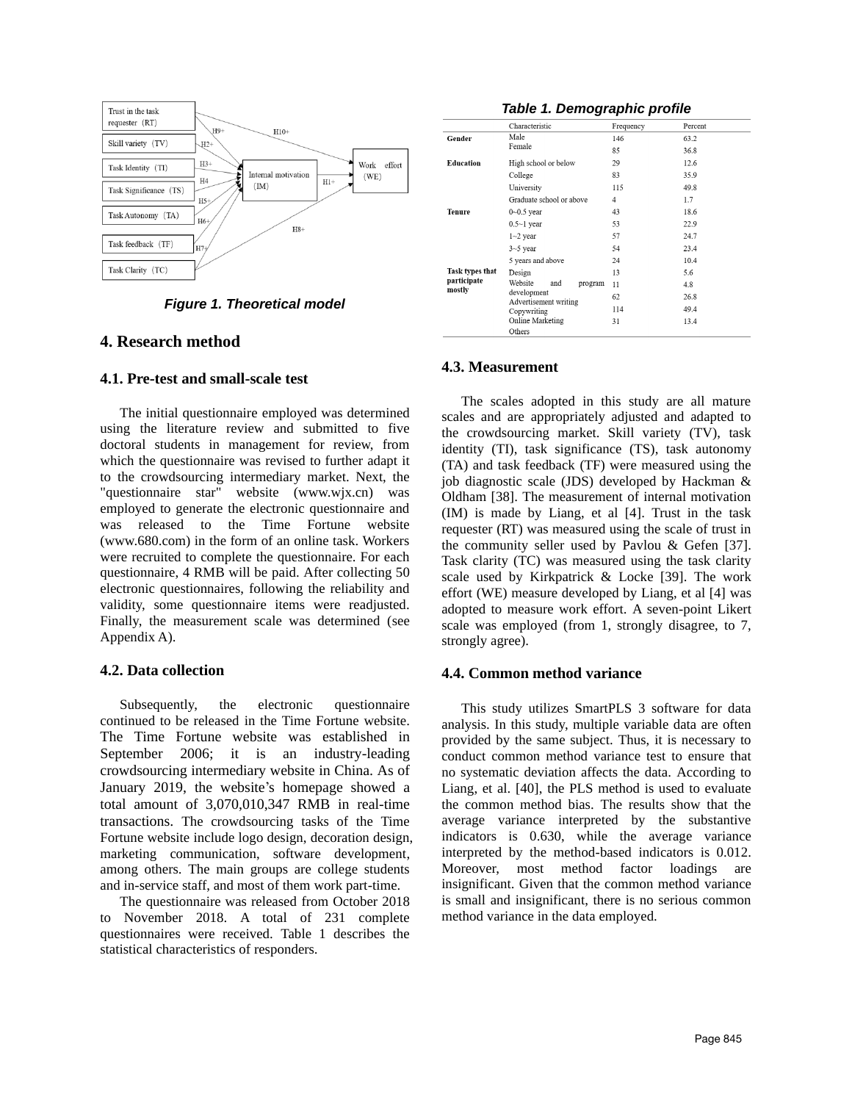

**Figure 1. Theoretical model**

## **4. Research method**

### **4.1. Pre-test and small-scale test**

The initial questionnaire employed was determined using the literature review and submitted to five doctoral students in management for review, from which the questionnaire was revised to further adapt it to the crowdsourcing intermediary market. Next, the "questionnaire star" website (www.wjx.cn) was employed to generate the electronic questionnaire and was released to the Time Fortune website (www.680.com) in the form of an online task. Workers were recruited to complete the questionnaire. For each questionnaire, 4 RMB will be paid. After collecting 50 electronic questionnaires, following the reliability and validity, some questionnaire items were readjusted. Finally, the measurement scale was determined (see Appendix A).

### **4.2. Data collection**

Subsequently, the electronic questionnaire continued to be released in the Time Fortune website. The Time Fortune website was established in September 2006; it is an industry-leading crowdsourcing intermediary website in China. As of January 2019, the website's homepage showed a total amount of 3,070,010,347 RMB in real-time transactions. The crowdsourcing tasks of the Time Fortune website include logo design, decoration design, marketing communication, software development, among others. The main groups are college students and in-service staff, and most of them work part-time.

The questionnaire was released from October 2018 to November 2018. A total of 231 complete questionnaires were received. Table 1 describes the statistical characteristics of responders.

### **Table 1. Demographic profile**

|                                                 | Characteristic                       | Frequency | Percent |
|-------------------------------------------------|--------------------------------------|-----------|---------|
| Gender                                          | Male                                 | 146       | 63.2    |
|                                                 | Female                               | 85        | 36.8    |
| Education                                       | High school or below                 | 29        | 12.6    |
|                                                 | College                              | 83        | 35.9    |
|                                                 | University                           | 115       | 49.8    |
|                                                 | Graduate school or above             | 4         | 1.7     |
| Tenure                                          | $0 - 0.5$ year                       | 43        | 18.6    |
|                                                 | $0.5 \sim 1$ year                    | 53        | 22.9    |
|                                                 | $1 - 2$ year                         | 57        | 24.7    |
|                                                 | $3 - 5$ year                         | 54        | 23.4    |
|                                                 | 5 years and above                    | 24        | 10.4    |
| <b>Task types that</b><br>participate<br>mostly | Design                               | 13        | 5.6     |
|                                                 | Website<br>and<br>program            | 11        | 4.8     |
|                                                 | development<br>Advertisement writing | 62        | 26.8    |
|                                                 | Copywriting                          | 114       | 49.4    |
|                                                 | Online Marketing                     | 31        | 13.4    |
|                                                 | Others                               |           |         |

### **4.3. Measurement**

The scales adopted in this study are all mature scales and are appropriately adjusted and adapted to the crowdsourcing market. Skill variety (TV), task identity (TI), task significance (TS), task autonomy (TA) and task feedback (TF) were measured using the job diagnostic scale (JDS) developed by Hackman & Oldham [38]. The measurement of internal motivation (IM) is made by Liang, et al [4]. Trust in the task requester (RT) was measured using the scale of trust in the community seller used by Pavlou & Gefen [37]. Task clarity (TC) was measured using the task clarity scale used by Kirkpatrick & Locke [39]. The work effort (WE) measure developed by Liang, et al [4] was adopted to measure work effort. A seven-point Likert scale was employed (from 1, strongly disagree, to 7, strongly agree).

### **4.4. Common method variance**

This study utilizes SmartPLS 3 software for data analysis. In this study, multiple variable data are often provided by the same subject. Thus, it is necessary to conduct common method variance test to ensure that no systematic deviation affects the data. According to Liang, et al. [40], the PLS method is used to evaluate the common method bias. The results show that the average variance interpreted by the substantive indicators is 0.630, while the average variance interpreted by the method-based indicators is 0.012. Moreover, most method factor loadings are insignificant. Given that the common method variance is small and insignificant, there is no serious common method variance in the data employed.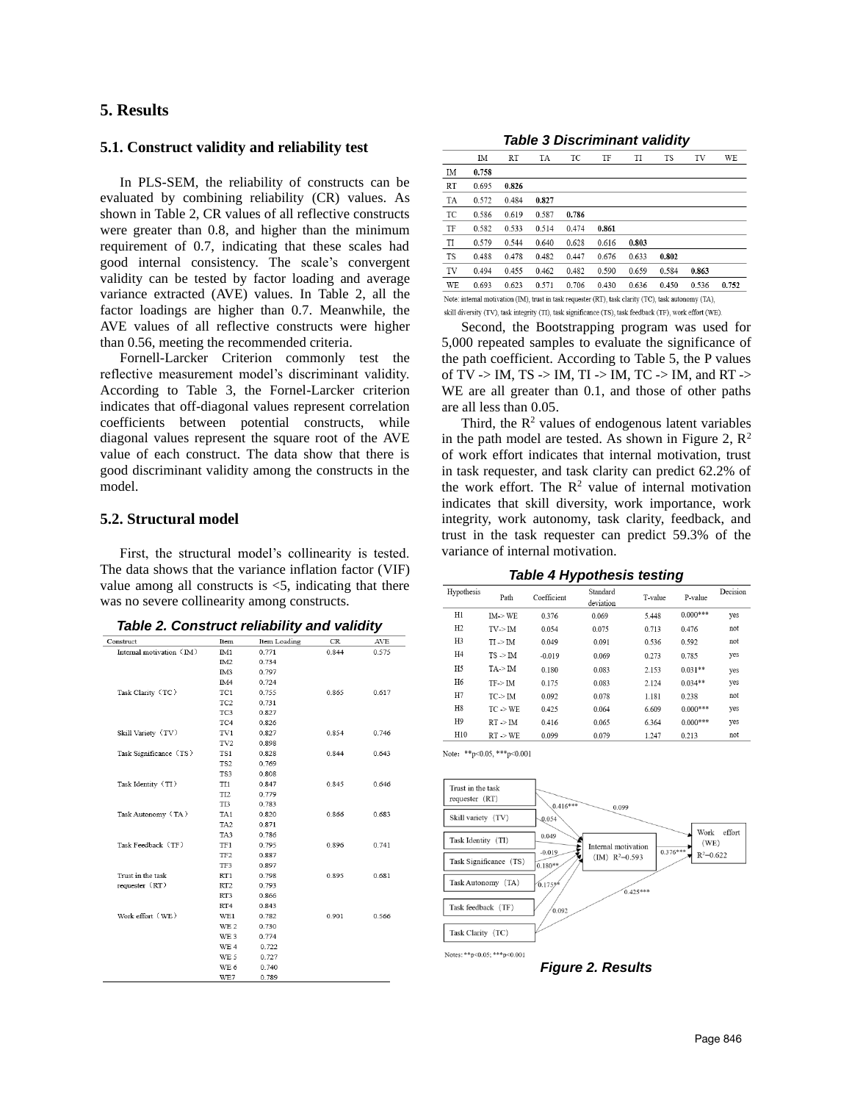## **5. Results**

### **5.1. Construct validity and reliability test**

In PLS-SEM, the reliability of constructs can be evaluated by combining reliability (CR) values. As shown in Table 2, CR values of all reflective constructs were greater than 0.8, and higher than the minimum requirement of 0.7, indicating that these scales had good internal consistency. The scale's convergent validity can be tested by factor loading and average variance extracted (AVE) values. In Table 2, all the factor loadings are higher than 0.7. Meanwhile, the AVE values of all reflective constructs were higher than 0.56, meeting the recommended criteria.

Fornell-Larcker Criterion commonly test the reflective measurement model's discriminant validity. According to Table 3, the Fornel-Larcker criterion indicates that off-diagonal values represent correlation coefficients between potential constructs, while diagonal values represent the square root of the AVE value of each construct. The data show that there is good discriminant validity among the constructs in the model.

### **5.2. Structural model**

First, the structural model's collinearity is tested. The data shows that the variance inflation factor (VIF) value among all constructs is  $\leq$ 5, indicating that there was no severe collinearity among constructs.

|  | Table 2. Construct reliability and validity |  |  |  |
|--|---------------------------------------------|--|--|--|
|--|---------------------------------------------|--|--|--|

| Construct                | Item            | Item Loading | CR    | AVE   |
|--------------------------|-----------------|--------------|-------|-------|
| Internal motivation (IM) | IM1             | 0.771        | 0.844 | 0.575 |
|                          | IM <sub>2</sub> | 0.734        |       |       |
|                          | IM3             | 0.797        |       |       |
|                          | IM4             | 0.724        |       |       |
| Task Clarity (TC)        | TC1             | 0.755        | 0.865 | 0.617 |
|                          | TC <sub>2</sub> | 0.731        |       |       |
|                          | TC3             | 0.827        |       |       |
|                          | TC4             | 0.826        |       |       |
| Skill Variety (TV)       | TV1             | 0.827        | 0.854 | 0.746 |
|                          | TV <sub>2</sub> | 0.898        |       |       |
| Task Significance (TS)   | TS1             | 0.828        | 0.844 | 0.643 |
|                          | TS <sub>2</sub> | 0.769        |       |       |
|                          | TS3             | 0.808        |       |       |
| Task Identity (TI)       | TI1             | 0.847        | 0.845 | 0.646 |
|                          | TI <sub>2</sub> | 0.779        |       |       |
|                          | TI3             | 0.783        |       |       |
| Task Autonomy (TA)       | TA1             | 0.820        | 0.866 | 0.683 |
|                          | TA <sub>2</sub> | 0.871        |       |       |
|                          | TA3             | 0.786        |       |       |
| Task Feedback (TF)       | TF1             | 0.795        | 0.896 | 0.741 |
|                          | TF <sub>2</sub> | 0.887        |       |       |
|                          | TF3             | 0.897        |       |       |
| Trust in the task        | RT1             | 0.798        | 0.895 | 0.681 |
| requester (RT)           | RT <sub>2</sub> | 0.793        |       |       |
|                          | RT3             | 0.866        |       |       |
|                          | RT <sub>4</sub> | 0.843        |       |       |
| Work effort (WE)         | WE1             | 0.782        | 0.901 | 0.566 |
|                          | WE <sub>2</sub> | 0.730        |       |       |
|                          | WE 3            | 0.774        |       |       |
|                          | WE 4            | 0.722        |       |       |
|                          | WE 5            | 0.727        |       |       |
|                          | WE 6            | 0.740        |       |       |
|                          | WE7             | 0.789        |       |       |

**Table 3 Discriminant validity**

|           | IM                                                                                                   | <b>RT</b> | TA    | TC    | TF    | TI    | <b>TS</b> | TV    | WE    |
|-----------|------------------------------------------------------------------------------------------------------|-----------|-------|-------|-------|-------|-----------|-------|-------|
| IM        | 0.758                                                                                                |           |       |       |       |       |           |       |       |
| RT        | 0.695                                                                                                | 0.826     |       |       |       |       |           |       |       |
| TA        | 0.572                                                                                                | 0.484     | 0.827 |       |       |       |           |       |       |
| TC        | 0.586                                                                                                | 0.619     | 0.587 | 0.786 |       |       |           |       |       |
| TF        | 0.582                                                                                                | 0.533     | 0.514 | 0.474 | 0.861 |       |           |       |       |
| TI        | 0.579                                                                                                | 0.544     | 0.640 | 0.628 | 0.616 | 0.803 |           |       |       |
| <b>TS</b> | 0.488                                                                                                | 0.478     | 0.482 | 0.447 | 0.676 | 0.633 | 0.802     |       |       |
| TV        | 0.494                                                                                                | 0.455     | 0.462 | 0.482 | 0.590 | 0.659 | 0.584     | 0.863 |       |
| WE        | 0.693                                                                                                | 0.623     | 0.571 | 0.706 | 0.430 | 0.636 | 0.450     | 0.536 | 0.752 |
|           | Note: internal motivation (IM), trust in task requester (RT), task clarity (TC), task autonomy (TA), |           |       |       |       |       |           |       |       |
|           |                                                                                                      |           |       |       |       |       |           |       |       |

skill diversity (TV), task integrity (TI), task significance (TS), task feedback (TF), work effort (WE).

Second, the Bootstrapping program was used for 5,000 repeated samples to evaluate the significance of the path coefficient. According to Table 5, the P values of TV -> IM, TS -> IM, TI -> IM, TC -> IM, and RT -> WE are all greater than 0.1, and those of other paths are all less than 0.05.

Third, the  $\mathbb{R}^2$  values of endogenous latent variables in the path model are tested. As shown in Figure 2,  $\mathbb{R}^2$ of work effort indicates that internal motivation, trust in task requester, and task clarity can predict 62.2% of the work effort. The  $R^2$  value of internal motivation indicates that skill diversity, work importance, work integrity, work autonomy, task clarity, feedback, and trust in the task requester can predict 59.3% of the variance of internal motivation.

|  |  | <b>Table 4 Hypothesis testing</b> |
|--|--|-----------------------------------|
|  |  |                                   |

|                |                     | . .         |                       |         |            |          |
|----------------|---------------------|-------------|-----------------------|---------|------------|----------|
| Hypothesis     | Path                | Coefficient | Standard<br>deviation | T-value | P-value    | Decision |
| H1             | IM > WE             | 0.376       | 0.069                 | 5.448   | $0.000***$ | yes      |
| H2             | TV > IM             | 0.054       | 0.075                 | 0.713   | 0.476      | not      |
| H3             | $TI \rightarrow IM$ | 0.049       | 0.091                 | 0.536   | 0.592      | not      |
| H4             | $TS \geq TM$        | $-0.019$    | 0.069                 | 0.273   | 0.785      | yes      |
| H5             | TA > IM             | 0.180       | 0.083                 | 2.153   | $0.031**$  | yes      |
| H <sub>6</sub> | $TF$ -> $IM$        | 0.175       | 0.083                 | 2.124   | $0.034**$  | yes      |
| H7             | TC > IM             | 0.092       | 0.078                 | 1.181   | 0.238      | not      |
| H8             | $TC \rightarrow WE$ | 0.425       | 0.064                 | 6.609   | $0.000***$ | yes      |
| H <sub>9</sub> | $RT \rightarrow IM$ | 0.416       | 0.065                 | 6.364   | $0.000***$ | yes      |
| H10            | RT > WE             | 0.099       | 0.079                 | 1.247   | 0.213      | not      |

Note: \*\* p<0.05, \*\*\* p<0.001



**Figure 2. Results**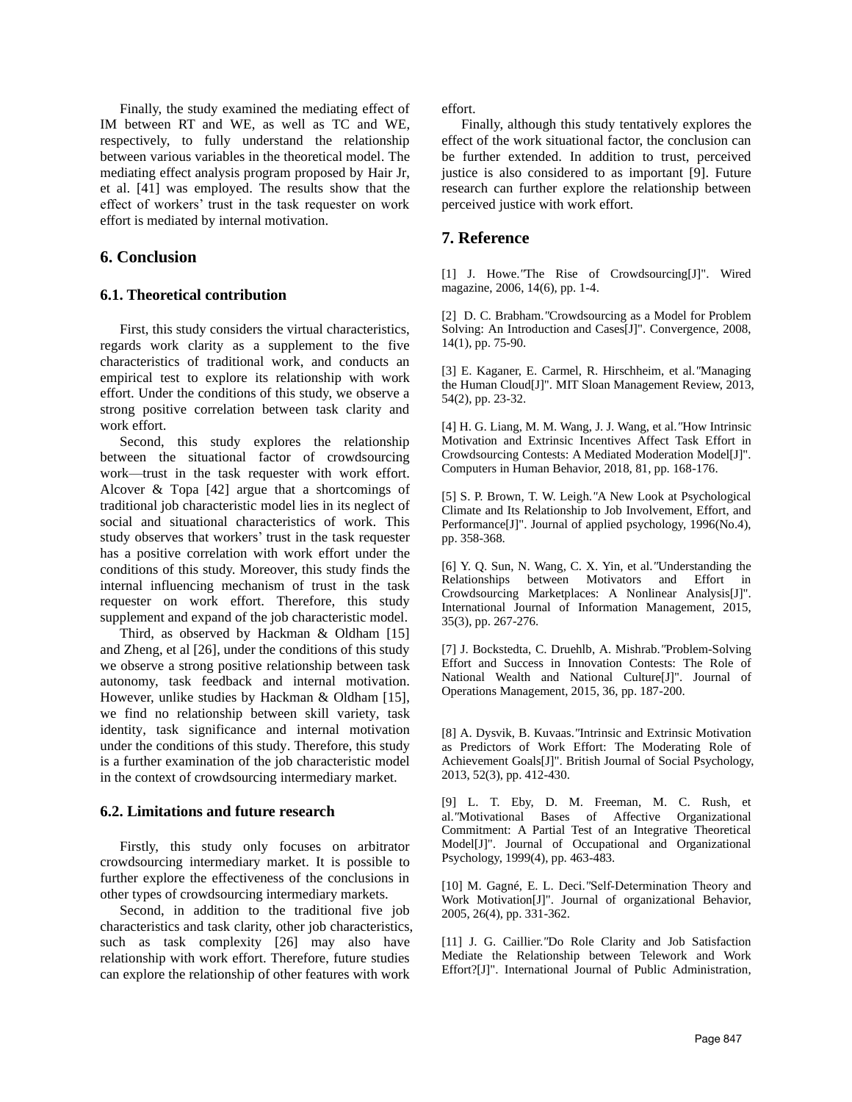Finally, the study examined the mediating effect of IM between RT and WE, as well as TC and WE, respectively, to fully understand the relationship between various variables in the theoretical model. The mediating effect analysis program proposed by Hair Jr, et al. [41] was employed. The results show that the effect of workers' trust in the task requester on work effort is mediated by internal motivation.

## **6. Conclusion**

### **6.1. Theoretical contribution**

First, this study considers the virtual characteristics, regards work clarity as a supplement to the five characteristics of traditional work, and conducts an empirical test to explore its relationship with work effort. Under the conditions of this study, we observe a strong positive correlation between task clarity and work effort.

Second, this study explores the relationship between the situational factor of crowdsourcing work—trust in the task requester with work effort. Alcover & Topa [42] argue that a shortcomings of traditional job characteristic model lies in its neglect of social and situational characteristics of work. This study observes that workers' trust in the task requester has a positive correlation with work effort under the conditions of this study. Moreover, this study finds the internal influencing mechanism of trust in the task requester on work effort. Therefore, this study supplement and expand of the job characteristic model.

Third, as observed by Hackman & Oldham [15] and Zheng, et al [26], under the conditions of this study we observe a strong positive relationship between task autonomy, task feedback and internal motivation. However, unlike studies by Hackman & Oldham [15], we find no relationship between skill variety, task identity, task significance and internal motivation under the conditions of this study. Therefore, this study is a further examination of the job characteristic model in the context of crowdsourcing intermediary market.

### **6.2. Limitations and future research**

Firstly, this study only focuses on arbitrator crowdsourcing intermediary market. It is possible to further explore the effectiveness of the conclusions in other types of crowdsourcing intermediary markets.

Second, in addition to the traditional five job characteristics and task clarity, other job characteristics, such as task complexity [26] may also have relationship with work effort. Therefore, future studies can explore the relationship of other features with work

effort.

Finally, although this study tentatively explores the effect of the work situational factor, the conclusion can be further extended. In addition to trust, perceived justice is also considered to as important [9]. Future research can further explore the relationship between perceived justice with work effort.

## **7. Reference**

[1] J. Howe.*"*The Rise of Crowdsourcing[J]". Wired magazine, 2006, 14(6), pp. 1-4.

[2] D. C. Brabham.*"*Crowdsourcing as a Model for Problem Solving: An Introduction and Cases[J]". Convergence, 2008, 14(1), pp. 75-90.

[3] E. Kaganer, E. Carmel, R. Hirschheim, et al.*"*Managing the Human Cloud[J]". MIT Sloan Management Review, 2013, 54(2), pp. 23-32.

[4] H. G. Liang, M. M. Wang, J. J. Wang, et al.*"*How Intrinsic Motivation and Extrinsic Incentives Affect Task Effort in Crowdsourcing Contests: A Mediated Moderation Model[J]". Computers in Human Behavior, 2018, 81, pp. 168-176.

[5] S. P. Brown, T. W. Leigh.*"*A New Look at Psychological Climate and Its Relationship to Job Involvement, Effort, and Performance[J]". Journal of applied psychology, 1996(No.4), pp. 358-368.

[6] Y. Q. Sun, N. Wang, C. X. Yin, et al.*"*Understanding the Relationships between Motivators and Effort in Crowdsourcing Marketplaces: A Nonlinear Analysis[J]". International Journal of Information Management, 2015, 35(3), pp. 267-276.

[7] J. Bockstedta, C. Druehlb, A. Mishrab.*"*Problem-Solving Effort and Success in Innovation Contests: The Role of National Wealth and National Culture[J]". Journal of Operations Management, 2015, 36, pp. 187-200.

[8] A. Dysvik, B. Kuvaas.*"*Intrinsic and Extrinsic Motivation as Predictors of Work Effort: The Moderating Role of Achievement Goals[J]". British Journal of Social Psychology, 2013, 52(3), pp. 412-430.

[9] L. T. Eby, D. M. Freeman, M. C. Rush, et al.*"*Motivational Bases of Affective Organizational Commitment: A Partial Test of an Integrative Theoretical Model[J]". Journal of Occupational and Organizational Psychology, 1999(4), pp. 463-483.

[10] M. Gagné, E. L. Deci.*"*Self‐Determination Theory and Work Motivation[J]". Journal of organizational Behavior, 2005, 26(4), pp. 331-362.

[11] J. G. Caillier.*"*Do Role Clarity and Job Satisfaction Mediate the Relationship between Telework and Work Effort?[J]". International Journal of Public Administration,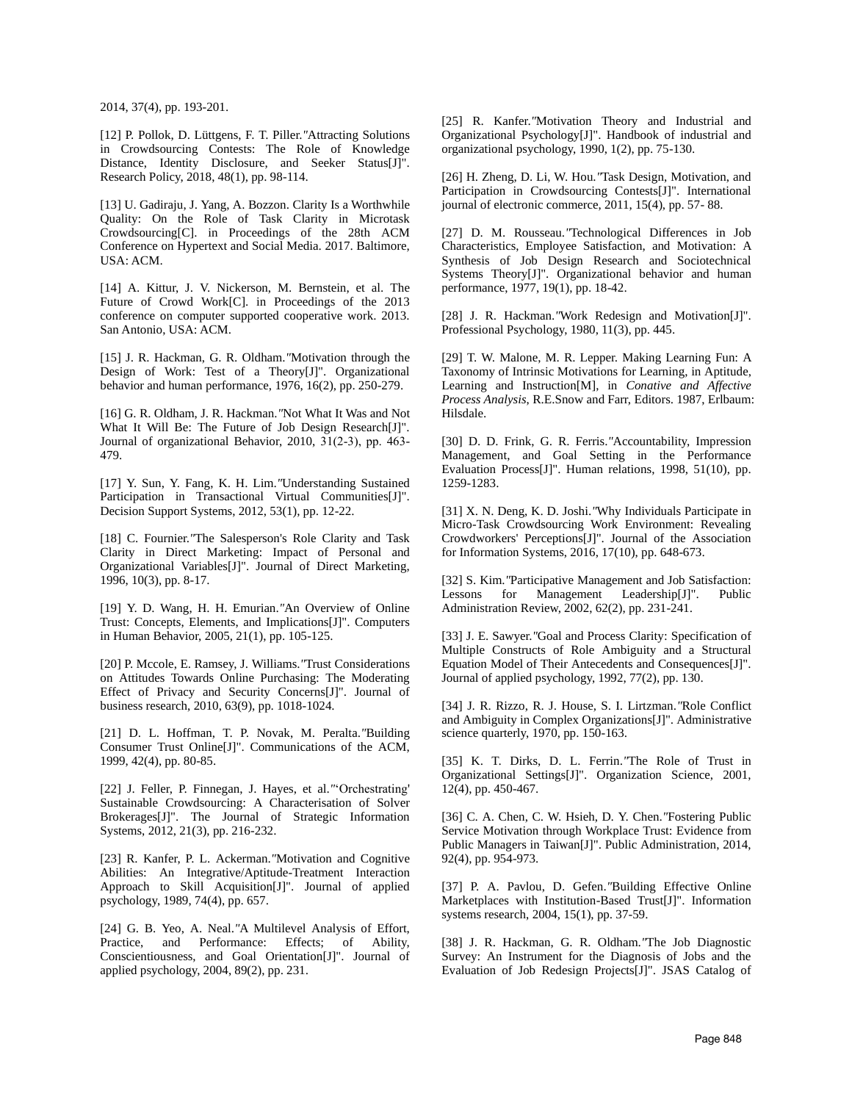2014, 37(4), pp. 193-201.

[12] P. Pollok, D. Lüttgens, F. T. Piller.*"*Attracting Solutions in Crowdsourcing Contests: The Role of Knowledge Distance, Identity Disclosure, and Seeker Status[J]". Research Policy, 2018, 48(1), pp. 98-114.

[13] U. Gadiraju, J. Yang, A. Bozzon. Clarity Is a Worthwhile Quality: On the Role of Task Clarity in Microtask Crowdsourcing[C]. in Proceedings of the 28th ACM Conference on Hypertext and Social Media. 2017. Baltimore, USA: ACM.

[14] A. Kittur, J. V. Nickerson, M. Bernstein, et al. The Future of Crowd Work[C]. in Proceedings of the 2013 conference on computer supported cooperative work. 2013. San Antonio, USA: ACM.

[15] J. R. Hackman, G. R. Oldham.*"*Motivation through the Design of Work: Test of a Theory[J]". Organizational behavior and human performance, 1976, 16(2), pp. 250-279.

[16] G. R. Oldham, J. R. Hackman.*"*Not What It Was and Not What It Will Be: The Future of Job Design Research[J]". Journal of organizational Behavior, 2010, 31(2‐3), pp. 463- 479.

[17] Y. Sun, Y. Fang, K. H. Lim.*"*Understanding Sustained Participation in Transactional Virtual Communities[J]". Decision Support Systems, 2012, 53(1), pp. 12-22.

[18] C. Fournier. "The Salesperson's Role Clarity and Task Clarity in Direct Marketing: Impact of Personal and Organizational Variables[J]". Journal of Direct Marketing, 1996, 10(3), pp. 8-17.

[19] Y. D. Wang, H. H. Emurian.*"*An Overview of Online Trust: Concepts, Elements, and Implications[J]". Computers in Human Behavior, 2005, 21(1), pp. 105-125.

[20] P. Mccole, E. Ramsey, J. Williams.*"*Trust Considerations on Attitudes Towards Online Purchasing: The Moderating Effect of Privacy and Security Concerns[J]". Journal of business research, 2010, 63(9), pp. 1018-1024.

[21] D. L. Hoffman, T. P. Novak, M. Peralta.*"*Building Consumer Trust Online[J]". Communications of the ACM, 1999, 42(4), pp. 80-85.

[22] J. Feller, P. Finnegan, J. Hayes, et al.*"*'Orchestrating' Sustainable Crowdsourcing: A Characterisation of Solver Brokerages[J]". The Journal of Strategic Information Systems, 2012, 21(3), pp. 216-232.

[23] R. Kanfer, P. L. Ackerman.*"*Motivation and Cognitive Abilities: An Integrative/Aptitude-Treatment Interaction Approach to Skill Acquisition[J]". Journal of applied psychology, 1989, 74(4), pp. 657.

[24] G. B. Yeo, A. Neal.*"*A Multilevel Analysis of Effort, Practice, and Performance: Effects; of Ability, Conscientiousness, and Goal Orientation[J]". Journal of applied psychology, 2004, 89(2), pp. 231.

[25] R. Kanfer.*"*Motivation Theory and Industrial and Organizational Psychology[J]". Handbook of industrial and organizational psychology, 1990, 1(2), pp. 75-130.

[26] H. Zheng, D. Li, W. Hou.*"*Task Design, Motivation, and Participation in Crowdsourcing Contests[J]". International journal of electronic commerce, 2011, 15(4), pp. 57- 88.

[27] D. M. Rousseau.*"*Technological Differences in Job Characteristics, Employee Satisfaction, and Motivation: A Synthesis of Job Design Research and Sociotechnical Systems Theory[J]". Organizational behavior and human performance, 1977, 19(1), pp. 18-42.

[28] J. R. Hackman.*"*Work Redesign and Motivation[J]". Professional Psychology, 1980, 11(3), pp. 445.

[29] T. W. Malone, M. R. Lepper. Making Learning Fun: A Taxonomy of Intrinsic Motivations for Learning, in Aptitude, Learning and Instruction[M], in *Conative and Affective Process Analysis*, R.E.Snow and Farr, Editors. 1987, Erlbaum: Hilsdale.

[30] D. D. Frink, G. R. Ferris.*"*Accountability, Impression Management, and Goal Setting in the Performance Evaluation Process[J]". Human relations, 1998, 51(10), pp. 1259-1283.

[31] X. N. Deng, K. D. Joshi.*"*Why Individuals Participate in Micro-Task Crowdsourcing Work Environment: Revealing Crowdworkers' Perceptions[J]". Journal of the Association for Information Systems, 2016, 17(10), pp. 648-673.

[32] S. Kim.*"*Participative Management and Job Satisfaction: Lessons for Management Leadership[J]". Public Administration Review, 2002, 62(2), pp. 231-241.

[33] J. E. Sawyer.*"*Goal and Process Clarity: Specification of Multiple Constructs of Role Ambiguity and a Structural Equation Model of Their Antecedents and Consequences[J]". Journal of applied psychology, 1992, 77(2), pp. 130.

[34] J. R. Rizzo, R. J. House, S. I. Lirtzman.*"*Role Conflict and Ambiguity in Complex Organizations[J]". Administrative science quarterly, 1970, pp. 150-163.

[35] K. T. Dirks, D. L. Ferrin.*"*The Role of Trust in Organizational Settings[J]". Organization Science, 2001, 12(4), pp. 450-467.

[36] C. A. Chen, C. W. Hsieh, D. Y. Chen.*"*Fostering Public Service Motivation through Workplace Trust: Evidence from Public Managers in Taiwan[J]". Public Administration, 2014, 92(4), pp. 954-973.

[37] P. A. Pavlou, D. Gefen.*"*Building Effective Online Marketplaces with Institution-Based Trust[J]". Information systems research, 2004, 15(1), pp. 37-59.

[38] J. R. Hackman, G. R. Oldham.*"*The Job Diagnostic Survey: An Instrument for the Diagnosis of Jobs and the Evaluation of Job Redesign Projects[J]". JSAS Catalog of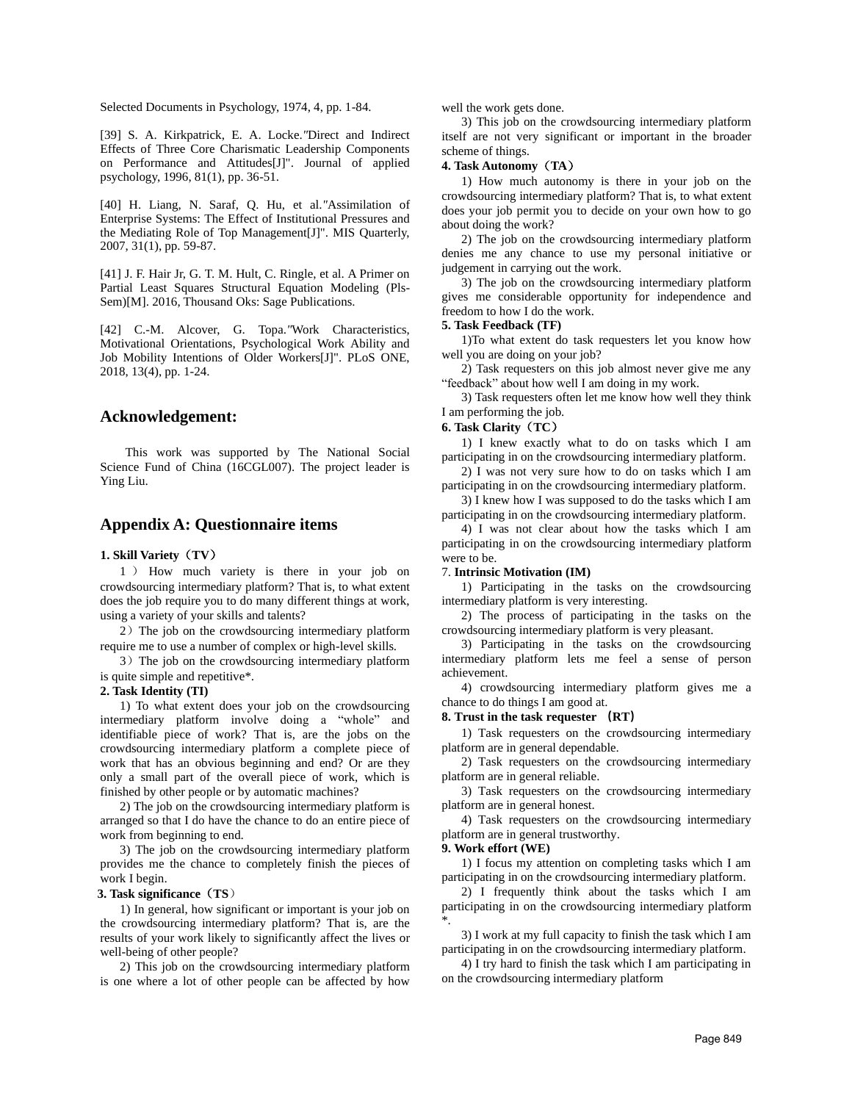Selected Documents in Psychology, 1974, 4, pp. 1-84.

[39] S. A. Kirkpatrick, E. A. Locke.*"*Direct and Indirect Effects of Three Core Charismatic Leadership Components on Performance and Attitudes[J]". Journal of applied psychology, 1996, 81(1), pp. 36-51.

[40] H. Liang, N. Saraf, Q. Hu, et al.*"*Assimilation of Enterprise Systems: The Effect of Institutional Pressures and the Mediating Role of Top Management[J]". MIS Quarterly, 2007, 31(1), pp. 59-87.

[41] J. F. Hair Jr, G. T. M. Hult, C. Ringle, et al. A Primer on Partial Least Squares Structural Equation Modeling (Pls-Sem)[M]. 2016, Thousand Oks: Sage Publications.

[42] C.-M. Alcover, G. Topa.*"*Work Characteristics, Motivational Orientations, Psychological Work Ability and Job Mobility Intentions of Older Workers[J]". PLoS ONE, 2018, 13(4), pp. 1-24.

### **Acknowledgement:**

This work was supported by The National Social Science Fund of China (16CGL007). The project leader is Ying Liu.

### **Appendix A: Questionnaire items**

#### **1. Skill Variety**(**TV**)

1 ) How much variety is there in your job on crowdsourcing intermediary platform? That is, to what extent does the job require you to do many different things at work, using a variety of your skills and talents?

2)The job on the crowdsourcing intermediary platform require me to use a number of complex or high-level skills.

3) The job on the crowdsourcing intermediary platform is quite simple and repetitive\*.

#### **2. Task Identity (TI)**

1) To what extent does your job on the crowdsourcing intermediary platform involve doing a "whole" and identifiable piece of work? That is, are the jobs on the crowdsourcing intermediary platform a complete piece of work that has an obvious beginning and end? Or are they only a small part of the overall piece of work, which is finished by other people or by automatic machines?

2) The job on the crowdsourcing intermediary platform is arranged so that I do have the chance to do an entire piece of work from beginning to end.

3) The job on the crowdsourcing intermediary platform provides me the chance to completely finish the pieces of work I begin.

#### **3. Task significance**(**TS**)

1) In general, how significant or important is your job on the crowdsourcing intermediary platform? That is, are the results of your work likely to significantly affect the lives or well-being of other people?

2) This job on the crowdsourcing intermediary platform is one where a lot of other people can be affected by how

well the work gets done.

3) This job on the crowdsourcing intermediary platform itself are not very significant or important in the broader scheme of things.

#### **4. Task Autonomy**(**TA**)

1) How much autonomy is there in your job on the crowdsourcing intermediary platform? That is, to what extent does your job permit you to decide on your own how to go about doing the work?

2) The job on the crowdsourcing intermediary platform denies me any chance to use my personal initiative or judgement in carrying out the work.

3) The job on the crowdsourcing intermediary platform gives me considerable opportunity for independence and freedom to how I do the work.

#### **5. Task Feedback (TF)**

1)To what extent do task requesters let you know how well you are doing on your job?

2) Task requesters on this job almost never give me any "feedback" about how well I am doing in my work.

3) Task requesters often let me know how well they think I am performing the job.

#### **6. Task Clarity**(**TC**)

1) I knew exactly what to do on tasks which I am participating in on the crowdsourcing intermediary platform.

2) I was not very sure how to do on tasks which I am participating in on the crowdsourcing intermediary platform.

3) I knew how I was supposed to do the tasks which I am participating in on the crowdsourcing intermediary platform.

4) I was not clear about how the tasks which I am participating in on the crowdsourcing intermediary platform were to be.

#### 7. **Intrinsic Motivation (IM)**

1) Participating in the tasks on the crowdsourcing intermediary platform is very interesting.

2) The process of participating in the tasks on the crowdsourcing intermediary platform is very pleasant.

3) Participating in the tasks on the crowdsourcing intermediary platform lets me feel a sense of person achievement.

4) crowdsourcing intermediary platform gives me a chance to do things I am good at.

#### **8. Trust in the task requester (RT)**

1) Task requesters on the crowdsourcing intermediary platform are in general dependable.

2) Task requesters on the crowdsourcing intermediary platform are in general reliable.

3) Task requesters on the crowdsourcing intermediary platform are in general honest.

4) Task requesters on the crowdsourcing intermediary platform are in general trustworthy.

#### **9. Work effort (WE)**

1) I focus my attention on completing tasks which I am participating in on the crowdsourcing intermediary platform.

2) I frequently think about the tasks which I am participating in on the crowdsourcing intermediary platform \*.

3) I work at my full capacity to finish the task which I am participating in on the crowdsourcing intermediary platform.

4) I try hard to finish the task which I am participating in on the crowdsourcing intermediary platform